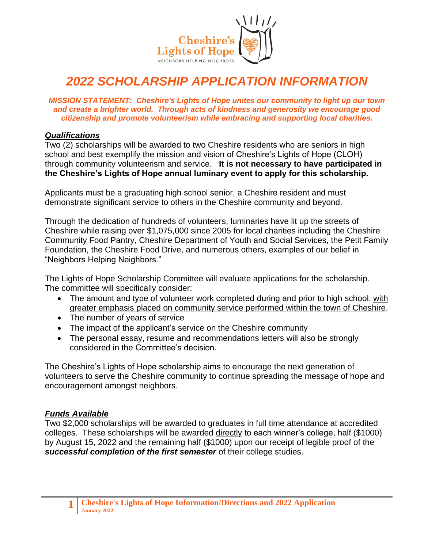

# *2022 SCHOLARSHIP APPLICATION INFORMATION*

*MISSION STATEMENT: Cheshire's Lights of Hope unites our community to light up our town and create a brighter world. Through acts of kindness and generosity we encourage good citizenship and promote volunteerism while embracing and supporting local charities.*

#### *Qualifications*

Two (2) scholarships will be awarded to two Cheshire residents who are seniors in high school and best exemplify the mission and vision of Cheshire's Lights of Hope (CLOH) through community volunteerism and service. **It is not necessary to have participated in the Cheshire's Lights of Hope annual luminary event to apply for this scholarship.**

Applicants must be a graduating high school senior, a Cheshire resident and must demonstrate significant service to others in the Cheshire community and beyond.

Through the dedication of hundreds of volunteers, luminaries have lit up the streets of Cheshire while raising over \$1,075,000 since 2005 for local charities including the Cheshire Community Food Pantry, Cheshire Department of Youth and Social Services, the Petit Family Foundation, the Cheshire Food Drive, and numerous others, examples of our belief in "Neighbors Helping Neighbors."

The Lights of Hope Scholarship Committee will evaluate applications for the scholarship. The committee will specifically consider:

- The amount and type of volunteer work completed during and prior to high school, with greater emphasis placed on community service performed within the town of Cheshire.
- The number of years of service
- The impact of the applicant's service on the Cheshire community
- The personal essay, resume and recommendations letters will also be strongly considered in the Committee's decision.

The Cheshire's Lights of Hope scholarship aims to encourage the next generation of volunteers to serve the Cheshire community to continue spreading the message of hope and encouragement amongst neighbors.

#### *Funds Available*

Two \$2,000 scholarships will be awarded to graduates in full time attendance at accredited colleges. These scholarships will be awarded directly to each winner's college, half (\$1000) by August 15, 2022 and the remaining half (\$1000) upon our receipt of legible proof of the *successful completion of the first semester* of their college studies.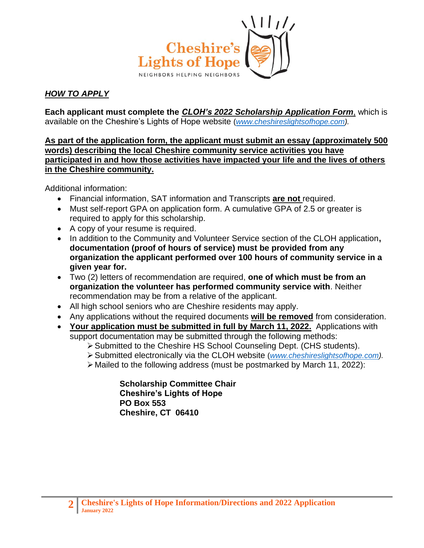

### *HOW TO APPLY*

**Each applicant must complete the** *CLOH's 2022 Scholarship Application Form*, which is available on the Cheshire's Lights of Hope website (*[www.cheshireslightsofhope.com\)](http://www.cheshireslightsofhope.com/).*

**As part of the application form, the applicant must submit an essay (approximately 500 words) describing the local Cheshire community service activities you have participated in and how those activities have impacted your life and the lives of others in the Cheshire community.** 

Additional information:

- Financial information, SAT information and Transcripts **are not** required.
- Must self-report GPA on application form. A cumulative GPA of 2.5 or greater is required to apply for this scholarship.
- A copy of your resume is required.
- In addition to the Community and Volunteer Service section of the CLOH application**, documentation (proof of hours of service) must be provided from any organization the applicant performed over 100 hours of community service in a given year for.**
- Two (2) letters of recommendation are required, **one of which must be from an organization the volunteer has performed community service with**. Neither recommendation may be from a relative of the applicant.
- All high school seniors who are Cheshire residents may apply.
- Any applications without the required documents **will be removed** from consideration.
- **Your application must be submitted in full by March 11, 2022.** Applications with support documentation may be submitted through the following methods:
	- ➢Submitted to the Cheshire HS School Counseling Dept. (CHS students).
	- ➢Submitted electronically via the CLOH website (*[www.cheshireslightsofhope.com\)](http://www.cheshireslightsofhope.com/).*
	- ➢ Mailed to the following address (must be postmarked by March 11, 2022):

**Scholarship Committee Chair Cheshire's Lights of Hope PO Box 553 Cheshire, CT 06410**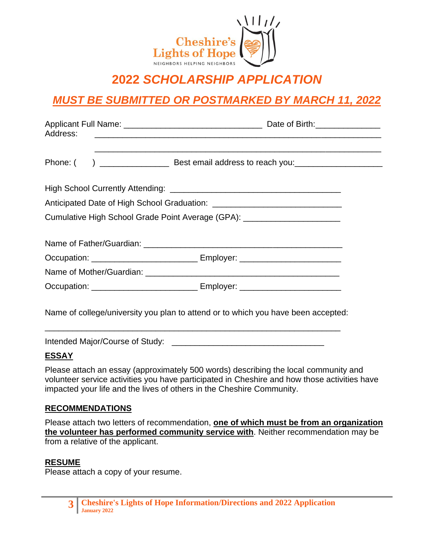

# **2022** *SCHOLARSHIP APPLICATION*

# *MUST BE SUBMITTED OR POSTMARKED BY MARCH 11, 2022*

| Address: |  |                                                                                   |  |  |
|----------|--|-----------------------------------------------------------------------------------|--|--|
|          |  |                                                                                   |  |  |
|          |  |                                                                                   |  |  |
|          |  |                                                                                   |  |  |
|          |  | Cumulative High School Grade Point Average (GPA): _________________________       |  |  |
|          |  |                                                                                   |  |  |
|          |  |                                                                                   |  |  |
|          |  | Occupation: ________________________________ Employer: _________________________  |  |  |
|          |  |                                                                                   |  |  |
|          |  | Occupation: _______________________________ Employer: __________________________  |  |  |
|          |  | Name of college/university you plan to attend or to which you have been accepted: |  |  |

Intended Major/Course of Study:

### **ESSAY**

Please attach an essay (approximately 500 words) describing the local community and volunteer service activities you have participated in Cheshire and how those activities have impacted your life and the lives of others in the Cheshire Community.

#### **RECOMMENDATIONS**

Please attach two letters of recommendation, **one of which must be from an organization the volunteer has performed community service with**. Neither recommendation may be from a relative of the applicant.

#### **RESUME**

Please attach a copy of your resume.